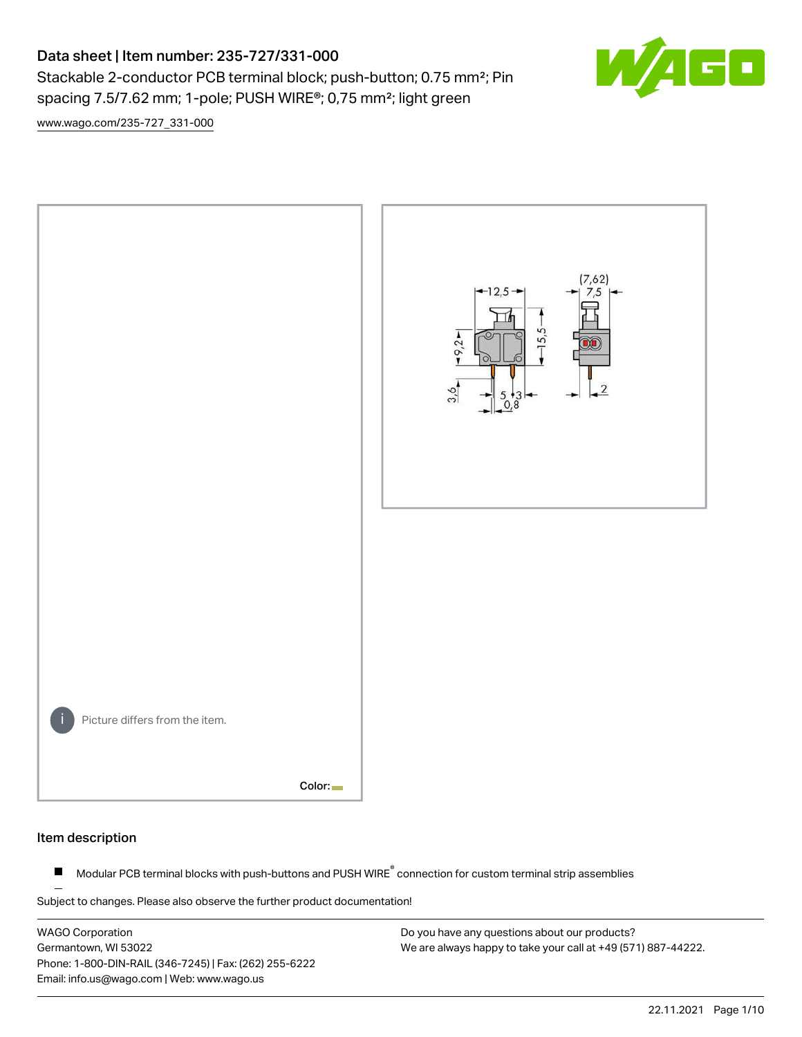# Data sheet | Item number: 235-727/331-000

Stackable 2-conductor PCB terminal block; push-button; 0.75 mm<sup>2</sup>; Pin spacing 7.5/7.62 mm; 1-pole; PUSH WIRE®; 0,75 mm²; light green

 $\mathbf{E}$ 

[www.wago.com/235-727\\_331-000](http://www.wago.com/235-727_331-000)



#### Item description

Modular PCB terminal blocks with push-buttons and PUSH WIRE<sup>®</sup> connection for custom terminal strip assemblies  $\blacksquare$ 

Subject to changes. Please also observe the further product documentation!

WAGO Corporation Germantown, WI 53022 Phone: 1-800-DIN-RAIL (346-7245) | Fax: (262) 255-6222 Email: info.us@wago.com | Web: www.wago.us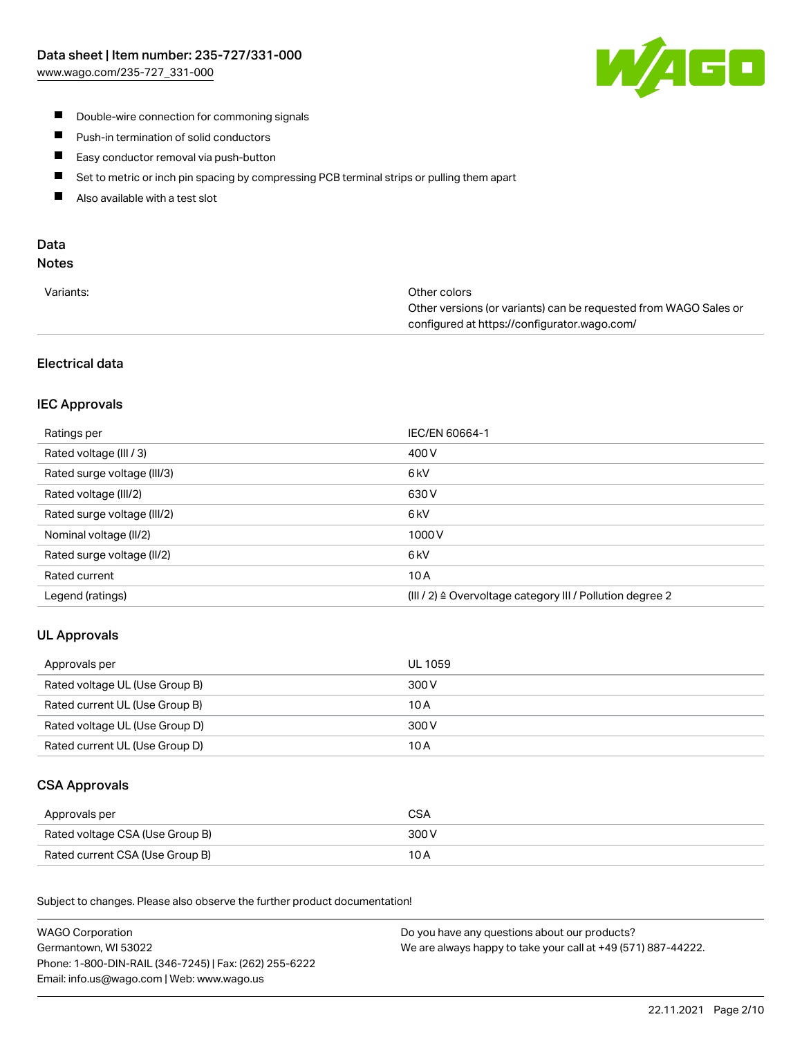

- **Double-wire connection for commoning signals**
- $\blacksquare$ Push-in termination of solid conductors
- Easy conductor removal via push-button  $\blacksquare$
- $\blacksquare$ Set to metric or inch pin spacing by compressing PCB terminal strips or pulling them apart
- $\blacksquare$ Also available with a test slot

# Data

# Notes

| Variants: | Other colors                                                     |
|-----------|------------------------------------------------------------------|
|           | Other versions (or variants) can be requested from WAGO Sales or |
|           | configured at https://configurator.wago.com/                     |

# Electrical data

# IEC Approvals

| Ratings per                 | IEC/EN 60664-1                                                       |
|-----------------------------|----------------------------------------------------------------------|
| Rated voltage (III / 3)     | 400 V                                                                |
| Rated surge voltage (III/3) | 6 <sub>kV</sub>                                                      |
| Rated voltage (III/2)       | 630 V                                                                |
| Rated surge voltage (III/2) | 6 <sub>kV</sub>                                                      |
| Nominal voltage (II/2)      | 1000V                                                                |
| Rated surge voltage (II/2)  | 6 <sub>kV</sub>                                                      |
| Rated current               | 10A                                                                  |
| Legend (ratings)            | (III / 2) $\triangleq$ Overvoltage category III / Pollution degree 2 |

# UL Approvals

| Approvals per                  | UL 1059 |
|--------------------------------|---------|
| Rated voltage UL (Use Group B) | 300 V   |
| Rated current UL (Use Group B) | 10 A    |
| Rated voltage UL (Use Group D) | 300 V   |
| Rated current UL (Use Group D) | 10 A    |

#### CSA Approvals

| Approvals per                   | CSA   |
|---------------------------------|-------|
| Rated voltage CSA (Use Group B) | 300 V |
| Rated current CSA (Use Group B) | 10 A  |

.<br>Subject to changes. Please also observe the further product documentation!

| <b>WAGO Corporation</b>                                | Do you have any questions about our products?                 |
|--------------------------------------------------------|---------------------------------------------------------------|
| Germantown, WI 53022                                   | We are always happy to take your call at +49 (571) 887-44222. |
| Phone: 1-800-DIN-RAIL (346-7245)   Fax: (262) 255-6222 |                                                               |
| Email: info.us@wago.com   Web: www.wago.us             |                                                               |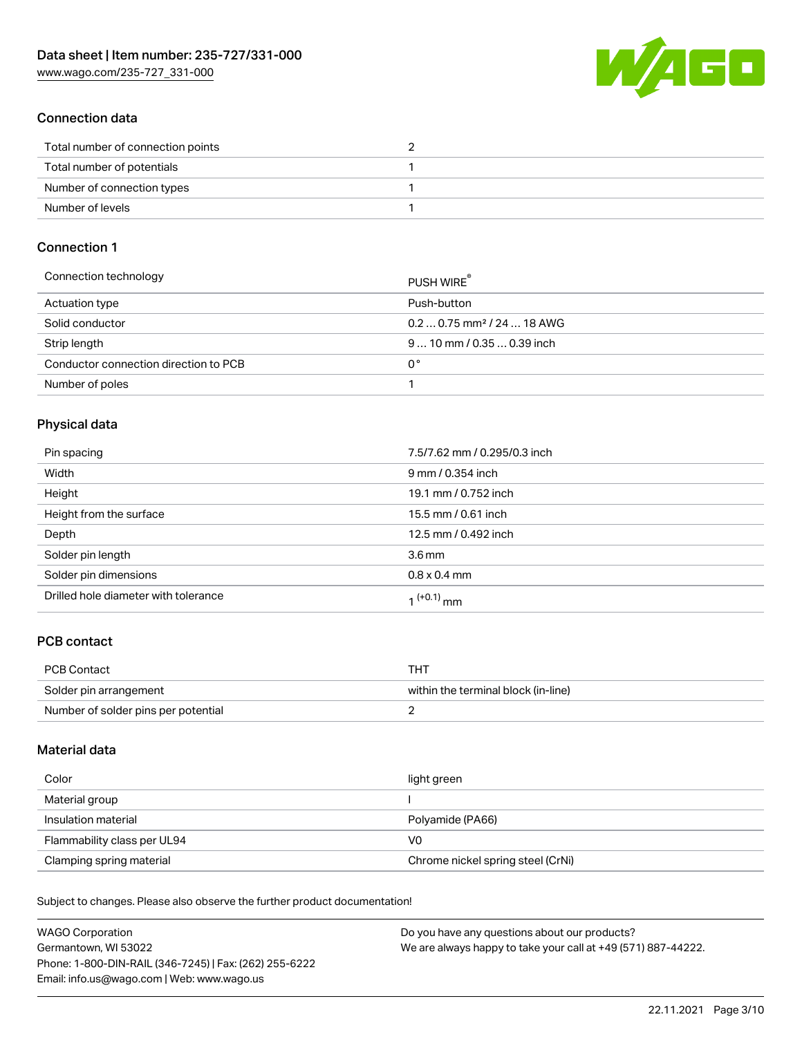[www.wago.com/235-727\\_331-000](http://www.wago.com/235-727_331-000)



## Connection data

| Total number of connection points |  |
|-----------------------------------|--|
| Total number of potentials        |  |
| Number of connection types        |  |
| Number of levels                  |  |

#### Connection 1

| Connection technology                 | PUSH WIRE                              |
|---------------------------------------|----------------------------------------|
| Actuation type                        | Push-button                            |
| Solid conductor                       | $0.20.75$ mm <sup>2</sup> / 24  18 AWG |
| Strip length                          | $910$ mm $/0.350.39$ inch              |
| Conductor connection direction to PCB | 0°                                     |
| Number of poles                       |                                        |

#### Physical data

| Pin spacing                          | 7.5/7.62 mm / 0.295/0.3 inch |
|--------------------------------------|------------------------------|
| Width                                | 9 mm / 0.354 inch            |
| Height                               | 19.1 mm / 0.752 inch         |
| Height from the surface              | 15.5 mm / 0.61 inch          |
| Depth                                | 12.5 mm / 0.492 inch         |
| Solder pin length                    | 3.6 <sub>mm</sub>            |
| Solder pin dimensions                | $0.8 \times 0.4$ mm          |
| Drilled hole diameter with tolerance | 1 <sup>(+0.1)</sup> mm       |

# PCB contact

| <b>PCB Contact</b>                  | THT                                 |
|-------------------------------------|-------------------------------------|
| Solder pin arrangement              | within the terminal block (in-line) |
| Number of solder pins per potential |                                     |

#### Material data

| Color                       | light green                       |
|-----------------------------|-----------------------------------|
| Material group              |                                   |
| Insulation material         | Polyamide (PA66)                  |
| Flammability class per UL94 | V0                                |
| Clamping spring material    | Chrome nickel spring steel (CrNi) |

Subject to changes. Please also observe the further product documentation!

| <b>WAGO Corporation</b>                                | Do you have any questions about our products?                 |
|--------------------------------------------------------|---------------------------------------------------------------|
| Germantown, WI 53022                                   | We are always happy to take your call at +49 (571) 887-44222. |
| Phone: 1-800-DIN-RAIL (346-7245)   Fax: (262) 255-6222 |                                                               |
| Email: info.us@wago.com   Web: www.wago.us             |                                                               |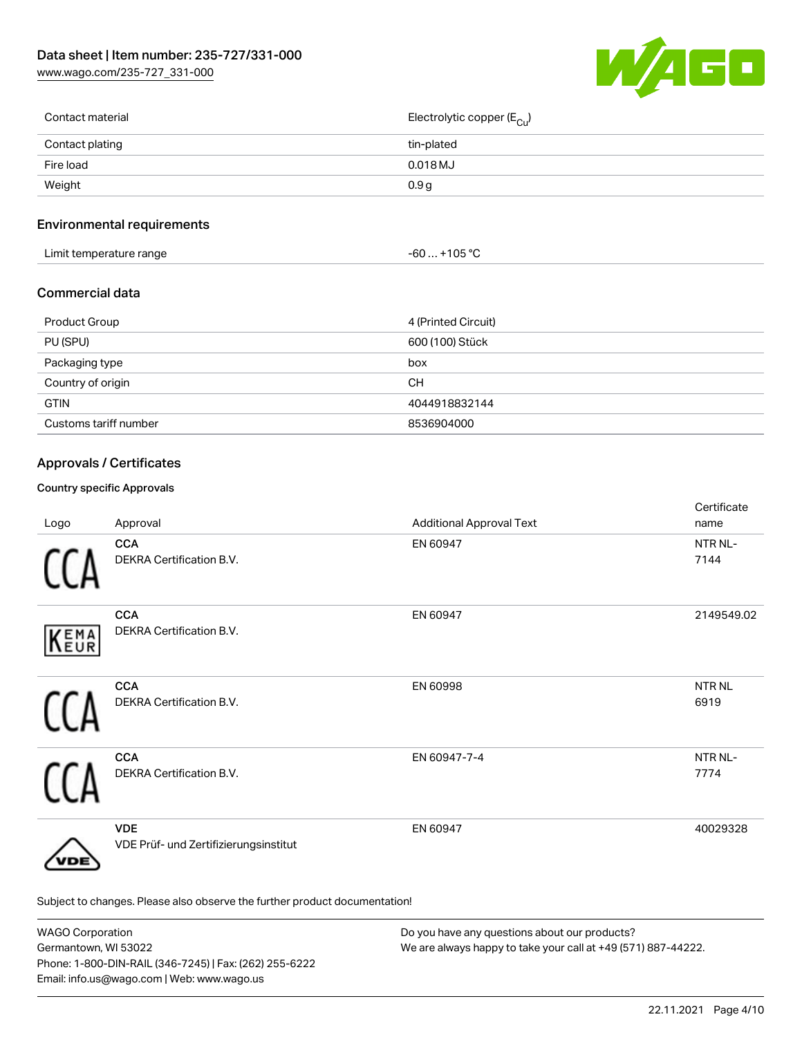[www.wago.com/235-727\\_331-000](http://www.wago.com/235-727_331-000)



| Contact material | Electrolytic copper (E <sub>Cu</sub> ) |
|------------------|----------------------------------------|
| Contact plating  | tin-plated                             |
| Fire load        | 0.018 MJ                               |
| Weight           | 0.9 <sub>g</sub>                       |
|                  |                                        |

# Environmental requirements

| Limit temperature range<br>. .<br><u>a serie de la construcción de la construcción de la construcción de la construcción de la construcción de la c</u> | ∙105 °C<br>-60<br>. |  |
|---------------------------------------------------------------------------------------------------------------------------------------------------------|---------------------|--|
|---------------------------------------------------------------------------------------------------------------------------------------------------------|---------------------|--|

#### Commercial data

| Product Group         | 4 (Printed Circuit) |
|-----------------------|---------------------|
| PU (SPU)              | 600 (100) Stück     |
| Packaging type        | box                 |
| Country of origin     | CН                  |
| <b>GTIN</b>           | 4044918832144       |
| Customs tariff number | 8536904000          |

## Approvals / Certificates

#### Country specific Approvals

| Logo | Approval                                                                   | <b>Additional Approval Text</b> | Certificate<br>name  |
|------|----------------------------------------------------------------------------|---------------------------------|----------------------|
|      | <b>CCA</b><br>DEKRA Certification B.V.                                     | EN 60947                        | NTR NL-<br>7144      |
| KEMA | <b>CCA</b><br>DEKRA Certification B.V.                                     | EN 60947                        | 2149549.02           |
|      | <b>CCA</b><br>DEKRA Certification B.V.                                     | EN 60998                        | <b>NTRNL</b><br>6919 |
|      | <b>CCA</b><br>DEKRA Certification B.V.                                     | EN 60947-7-4                    | NTR NL-<br>7774      |
| /DE  | <b>VDE</b><br>VDE Prüf- und Zertifizierungsinstitut                        | EN 60947                        | 40029328             |
|      | Subject to changes. Please also observe the further product documentation! |                                 |                      |

WAGO Corporation Germantown, WI 53022 Phone: 1-800-DIN-RAIL (346-7245) | Fax: (262) 255-6222 Email: info.us@wago.com | Web: www.wago.us Do you have any questions about our products? We are always happy to take your call at +49 (571) 887-44222.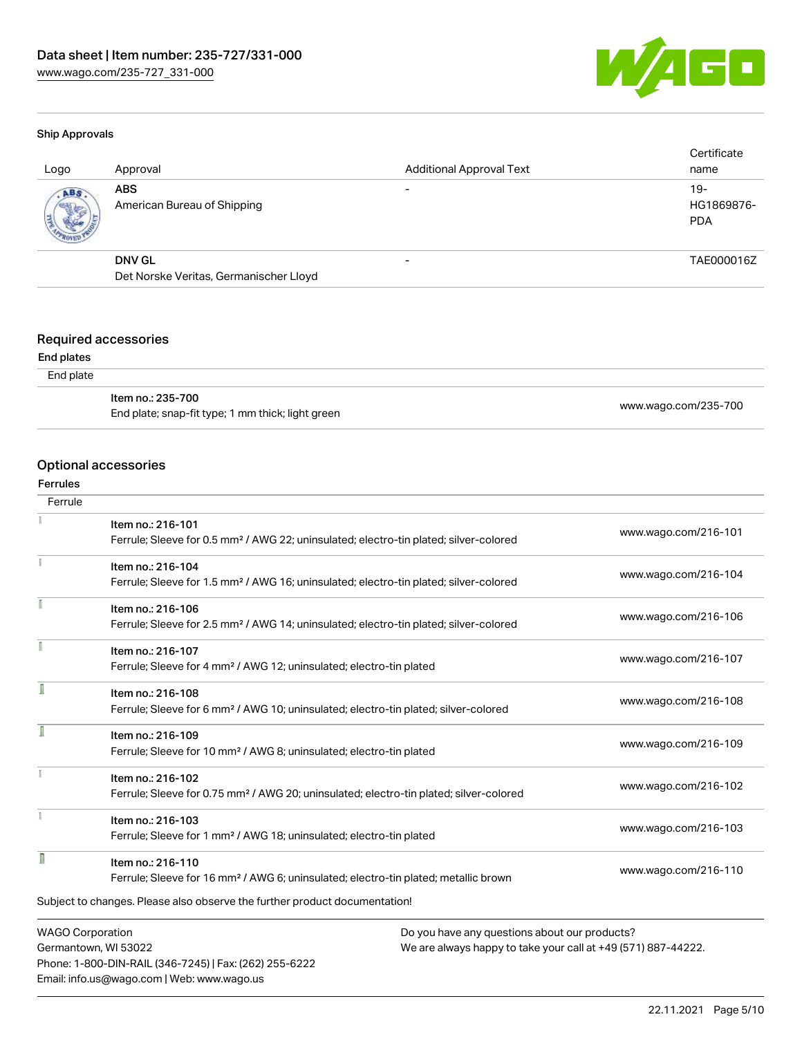

#### Ship Approvals

| Logo | Approval                                  | <b>Additional Approval Text</b> | Certificate<br>name               |
|------|-------------------------------------------|---------------------------------|-----------------------------------|
| ABS  | <b>ABS</b><br>American Bureau of Shipping |                                 | $19-$<br>HG1869876-<br><b>PDA</b> |
|      | <b>DNV GL</b>                             | $\overline{\phantom{0}}$        | TAE000016Z                        |
|      | Det Norske Veritas, Germanischer Lloyd    |                                 |                                   |

#### Required accessories

#### End plates

| End plate |  |
|-----------|--|
|-----------|--|

| ltem no.: 235-700                                 |                      |
|---------------------------------------------------|----------------------|
| End plate; snap-fit type; 1 mm thick; light green | www.wago.com/235-700 |

#### Optional accessories

Phone: 1-800-DIN-RAIL (346-7245) | Fax: (262) 255-6222

Email: info.us@wago.com | Web: www.wago.us

# Ferrules

| Ferrule                 |                                                                                                    |                                                               |
|-------------------------|----------------------------------------------------------------------------------------------------|---------------------------------------------------------------|
|                         | Item no.: 216-101                                                                                  |                                                               |
|                         | Ferrule; Sleeve for 0.5 mm <sup>2</sup> / AWG 22; uninsulated; electro-tin plated; silver-colored  | www.wago.com/216-101                                          |
|                         | Item no.: 216-104                                                                                  | www.wago.com/216-104                                          |
|                         | Ferrule; Sleeve for 1.5 mm <sup>2</sup> / AWG 16; uninsulated; electro-tin plated; silver-colored  |                                                               |
|                         | Item no.: 216-106                                                                                  |                                                               |
|                         | Ferrule; Sleeve for 2.5 mm <sup>2</sup> / AWG 14; uninsulated; electro-tin plated; silver-colored  | www.wago.com/216-106                                          |
|                         | Item no.: 216-107                                                                                  |                                                               |
|                         | Ferrule; Sleeve for 4 mm <sup>2</sup> / AWG 12; uninsulated; electro-tin plated                    | www.wago.com/216-107                                          |
| ſ                       | Item no.: 216-108                                                                                  |                                                               |
|                         | Ferrule; Sleeve for 6 mm <sup>2</sup> / AWG 10; uninsulated; electro-tin plated; silver-colored    | www.wago.com/216-108                                          |
|                         | Item no.: 216-109                                                                                  |                                                               |
|                         | Ferrule; Sleeve for 10 mm <sup>2</sup> / AWG 8; uninsulated; electro-tin plated                    | www.wago.com/216-109                                          |
|                         | Item no.: 216-102                                                                                  |                                                               |
|                         | Ferrule; Sleeve for 0.75 mm <sup>2</sup> / AWG 20; uninsulated; electro-tin plated; silver-colored | www.wago.com/216-102                                          |
|                         | Item no.: 216-103                                                                                  |                                                               |
|                         | Ferrule; Sleeve for 1 mm <sup>2</sup> / AWG 18; uninsulated; electro-tin plated                    | www.wago.com/216-103                                          |
| I                       | Item no.: 216-110                                                                                  |                                                               |
|                         | Ferrule; Sleeve for 16 mm <sup>2</sup> / AWG 6; uninsulated; electro-tin plated; metallic brown    | www.wago.com/216-110                                          |
|                         | Subject to changes. Please also observe the further product documentation!                         |                                                               |
| <b>WAGO Corporation</b> |                                                                                                    | Do you have any questions about our products?                 |
| Germantown, WI 53022    |                                                                                                    | We are always happy to take your call at +49 (571) 887-44222. |

22.11.2021 Page 5/10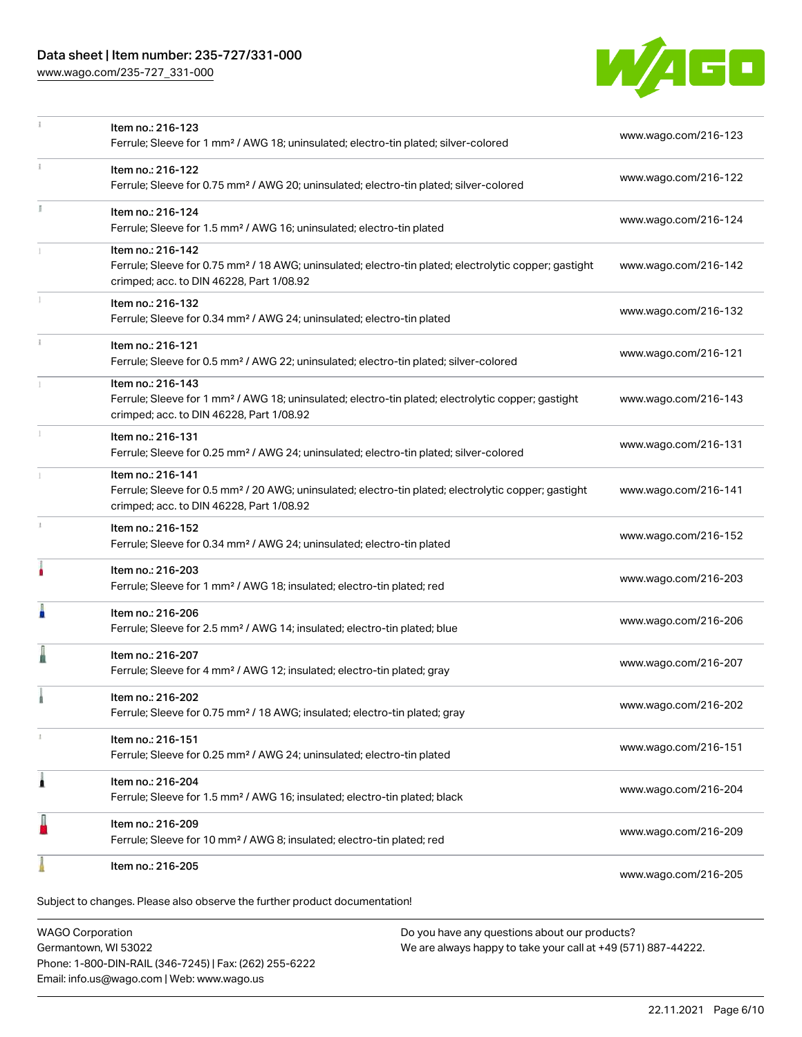## Data sheet | Item number: 235-727/331-000

[www.wago.com/235-727\\_331-000](http://www.wago.com/235-727_331-000)



|              | Item no.: 216-123<br>Ferrule; Sleeve for 1 mm <sup>2</sup> / AWG 18; uninsulated; electro-tin plated; silver-colored                                                               | www.wago.com/216-123 |
|--------------|------------------------------------------------------------------------------------------------------------------------------------------------------------------------------------|----------------------|
| $\mathbf{i}$ | Item no.: 216-122<br>Ferrule; Sleeve for 0.75 mm <sup>2</sup> / AWG 20; uninsulated; electro-tin plated; silver-colored                                                            | www.wago.com/216-122 |
| J.           | Item no.: 216-124<br>Ferrule; Sleeve for 1.5 mm <sup>2</sup> / AWG 16; uninsulated; electro-tin plated                                                                             | www.wago.com/216-124 |
|              | Item no.: 216-142<br>Ferrule; Sleeve for 0.75 mm <sup>2</sup> / 18 AWG; uninsulated; electro-tin plated; electrolytic copper; gastight<br>crimped; acc. to DIN 46228, Part 1/08.92 | www.wago.com/216-142 |
|              | Item no.: 216-132<br>Ferrule; Sleeve for 0.34 mm <sup>2</sup> / AWG 24; uninsulated; electro-tin plated                                                                            | www.wago.com/216-132 |
|              | Item no.: 216-121<br>Ferrule; Sleeve for 0.5 mm <sup>2</sup> / AWG 22; uninsulated; electro-tin plated; silver-colored                                                             | www.wago.com/216-121 |
|              | Item no.: 216-143<br>Ferrule; Sleeve for 1 mm <sup>2</sup> / AWG 18; uninsulated; electro-tin plated; electrolytic copper; gastight<br>crimped; acc. to DIN 46228, Part 1/08.92    | www.wago.com/216-143 |
|              | Item no.: 216-131<br>Ferrule; Sleeve for 0.25 mm <sup>2</sup> / AWG 24; uninsulated; electro-tin plated; silver-colored                                                            | www.wago.com/216-131 |
|              | Item no.: 216-141<br>Ferrule; Sleeve for 0.5 mm <sup>2</sup> / 20 AWG; uninsulated; electro-tin plated; electrolytic copper; gastight<br>crimped; acc. to DIN 46228, Part 1/08.92  | www.wago.com/216-141 |
|              | Item no.: 216-152<br>Ferrule; Sleeve for 0.34 mm <sup>2</sup> / AWG 24; uninsulated; electro-tin plated                                                                            | www.wago.com/216-152 |
|              | Item no.: 216-203<br>Ferrule; Sleeve for 1 mm <sup>2</sup> / AWG 18; insulated; electro-tin plated; red                                                                            | www.wago.com/216-203 |
| I            | Item no.: 216-206<br>Ferrule; Sleeve for 2.5 mm <sup>2</sup> / AWG 14; insulated; electro-tin plated; blue                                                                         | www.wago.com/216-206 |
|              | Item no.: 216-207<br>Ferrule; Sleeve for 4 mm <sup>2</sup> / AWG 12; insulated; electro-tin plated; gray                                                                           | www.wago.com/216-207 |
|              | Item no.: 216-202<br>Ferrule; Sleeve for 0.75 mm <sup>2</sup> / 18 AWG; insulated; electro-tin plated; gray                                                                        | www.wago.com/216-202 |
| T            | Item no.: 216-151<br>Ferrule; Sleeve for 0.25 mm <sup>2</sup> / AWG 24; uninsulated; electro-tin plated                                                                            | www.wago.com/216-151 |
| 1            | Item no.: 216-204<br>Ferrule; Sleeve for 1.5 mm <sup>2</sup> / AWG 16; insulated; electro-tin plated; black                                                                        | www.wago.com/216-204 |
|              | Item no.: 216-209<br>Ferrule; Sleeve for 10 mm <sup>2</sup> / AWG 8; insulated; electro-tin plated; red                                                                            | www.wago.com/216-209 |
|              | Item no.: 216-205                                                                                                                                                                  | www.wago.com/216-205 |
|              | Subject to changes. Please also observe the further product documentation!                                                                                                         |                      |

WAGO Corporation Germantown, WI 53022 Phone: 1-800-DIN-RAIL (346-7245) | Fax: (262) 255-6222 Email: info.us@wago.com | Web: www.wago.us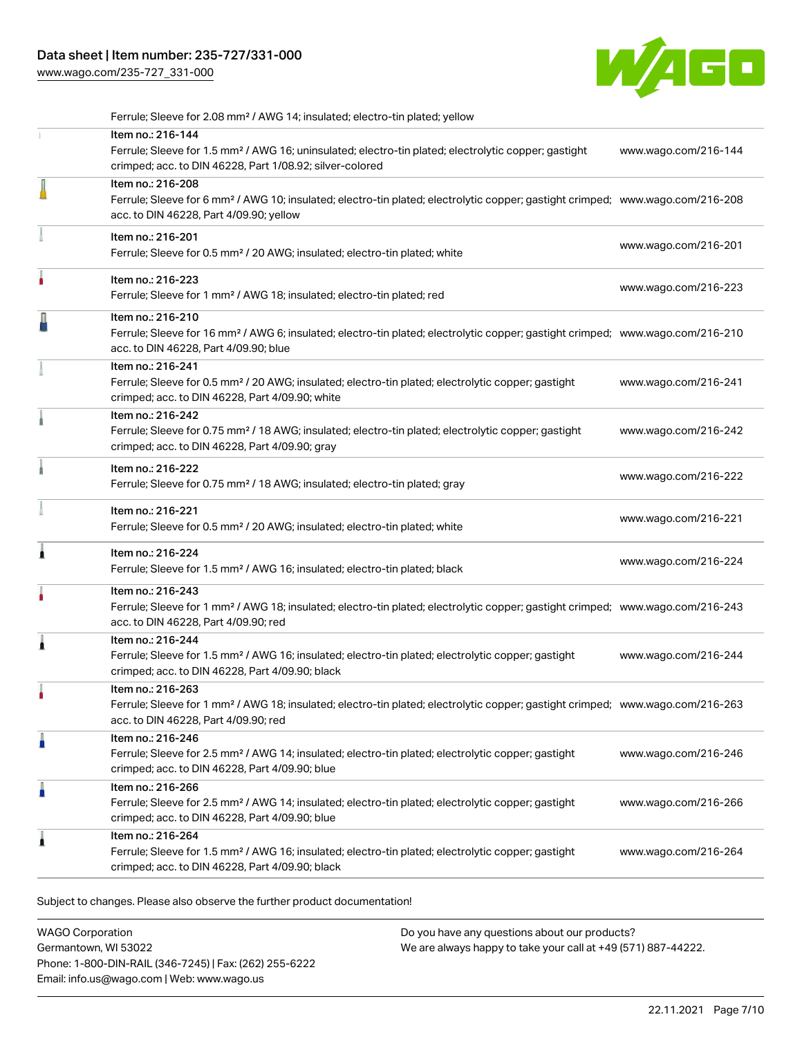[www.wago.com/235-727\\_331-000](http://www.wago.com/235-727_331-000)



| Ferrule; Sleeve for 2.08 mm <sup>2</sup> / AWG 14; insulated; electro-tin plated; yellow                                                                                                          |                                                                                                                                                                                                                                                                                                                                                                                                                                                                                                                                                                                      |
|---------------------------------------------------------------------------------------------------------------------------------------------------------------------------------------------------|--------------------------------------------------------------------------------------------------------------------------------------------------------------------------------------------------------------------------------------------------------------------------------------------------------------------------------------------------------------------------------------------------------------------------------------------------------------------------------------------------------------------------------------------------------------------------------------|
| Item no.: 216-144<br>Ferrule; Sleeve for 1.5 mm <sup>2</sup> / AWG 16; uninsulated; electro-tin plated; electrolytic copper; gastight<br>crimped; acc. to DIN 46228, Part 1/08.92; silver-colored | www.wago.com/216-144                                                                                                                                                                                                                                                                                                                                                                                                                                                                                                                                                                 |
| Item no.: 216-208<br>acc. to DIN 46228, Part 4/09.90; yellow                                                                                                                                      |                                                                                                                                                                                                                                                                                                                                                                                                                                                                                                                                                                                      |
| Item no.: 216-201<br>Ferrule; Sleeve for 0.5 mm <sup>2</sup> / 20 AWG; insulated; electro-tin plated; white                                                                                       | www.wago.com/216-201                                                                                                                                                                                                                                                                                                                                                                                                                                                                                                                                                                 |
| Item no.: 216-223<br>Ferrule; Sleeve for 1 mm <sup>2</sup> / AWG 18; insulated; electro-tin plated; red                                                                                           | www.wago.com/216-223                                                                                                                                                                                                                                                                                                                                                                                                                                                                                                                                                                 |
| Item no.: 216-210<br>acc. to DIN 46228, Part 4/09.90; blue                                                                                                                                        |                                                                                                                                                                                                                                                                                                                                                                                                                                                                                                                                                                                      |
| Item no.: 216-241<br>Ferrule; Sleeve for 0.5 mm <sup>2</sup> / 20 AWG; insulated; electro-tin plated; electrolytic copper; gastight<br>crimped; acc. to DIN 46228, Part 4/09.90; white            | www.wago.com/216-241                                                                                                                                                                                                                                                                                                                                                                                                                                                                                                                                                                 |
| Item no.: 216-242<br>Ferrule; Sleeve for 0.75 mm <sup>2</sup> / 18 AWG; insulated; electro-tin plated; electrolytic copper; gastight<br>crimped; acc. to DIN 46228, Part 4/09.90; gray            | www.wago.com/216-242                                                                                                                                                                                                                                                                                                                                                                                                                                                                                                                                                                 |
| Item no.: 216-222<br>Ferrule; Sleeve for 0.75 mm <sup>2</sup> / 18 AWG; insulated; electro-tin plated; gray                                                                                       | www.wago.com/216-222                                                                                                                                                                                                                                                                                                                                                                                                                                                                                                                                                                 |
| Item no.: 216-221<br>Ferrule; Sleeve for 0.5 mm <sup>2</sup> / 20 AWG; insulated; electro-tin plated; white                                                                                       | www.wago.com/216-221                                                                                                                                                                                                                                                                                                                                                                                                                                                                                                                                                                 |
| Item no.: 216-224<br>Ferrule; Sleeve for 1.5 mm <sup>2</sup> / AWG 16; insulated; electro-tin plated; black                                                                                       | www.wago.com/216-224                                                                                                                                                                                                                                                                                                                                                                                                                                                                                                                                                                 |
| Item no.: 216-243<br>acc. to DIN 46228, Part 4/09.90; red                                                                                                                                         |                                                                                                                                                                                                                                                                                                                                                                                                                                                                                                                                                                                      |
| Item no.: 216-244<br>Ferrule; Sleeve for 1.5 mm <sup>2</sup> / AWG 16; insulated; electro-tin plated; electrolytic copper; gastight<br>crimped; acc. to DIN 46228, Part 4/09.90; black            | www.wago.com/216-244                                                                                                                                                                                                                                                                                                                                                                                                                                                                                                                                                                 |
| Item no.: 216-263<br>acc. to DIN 46228, Part 4/09.90; red                                                                                                                                         |                                                                                                                                                                                                                                                                                                                                                                                                                                                                                                                                                                                      |
| Item no.: 216-246<br>Ferrule; Sleeve for 2.5 mm <sup>2</sup> / AWG 14; insulated; electro-tin plated; electrolytic copper; gastight<br>crimped; acc. to DIN 46228, Part 4/09.90; blue             | www.wago.com/216-246                                                                                                                                                                                                                                                                                                                                                                                                                                                                                                                                                                 |
| Item no.: 216-266<br>Ferrule; Sleeve for 2.5 mm <sup>2</sup> / AWG 14; insulated; electro-tin plated; electrolytic copper; gastight<br>crimped; acc. to DIN 46228, Part 4/09.90; blue             | www.wago.com/216-266                                                                                                                                                                                                                                                                                                                                                                                                                                                                                                                                                                 |
| Item no.: 216-264<br>Ferrule; Sleeve for 1.5 mm <sup>2</sup> / AWG 16; insulated; electro-tin plated; electrolytic copper; gastight<br>crimped; acc. to DIN 46228, Part 4/09.90; black            | www.wago.com/216-264                                                                                                                                                                                                                                                                                                                                                                                                                                                                                                                                                                 |
|                                                                                                                                                                                                   | Ferrule; Sleeve for 6 mm <sup>2</sup> / AWG 10; insulated; electro-tin plated; electrolytic copper; gastight crimped; www.wago.com/216-208<br>Ferrule; Sleeve for 16 mm <sup>2</sup> / AWG 6; insulated; electro-tin plated; electrolytic copper; gastight crimped; www.wago.com/216-210<br>Ferrule; Sleeve for 1 mm <sup>2</sup> / AWG 18; insulated; electro-tin plated; electrolytic copper; gastight crimped; www.wago.com/216-243<br>Ferrule; Sleeve for 1 mm <sup>2</sup> / AWG 18; insulated; electro-tin plated; electrolytic copper; gastight crimped; www.wago.com/216-263 |

Subject to changes. Please also observe the further product documentation!

WAGO Corporation Germantown, WI 53022 Phone: 1-800-DIN-RAIL (346-7245) | Fax: (262) 255-6222 Email: info.us@wago.com | Web: www.wago.us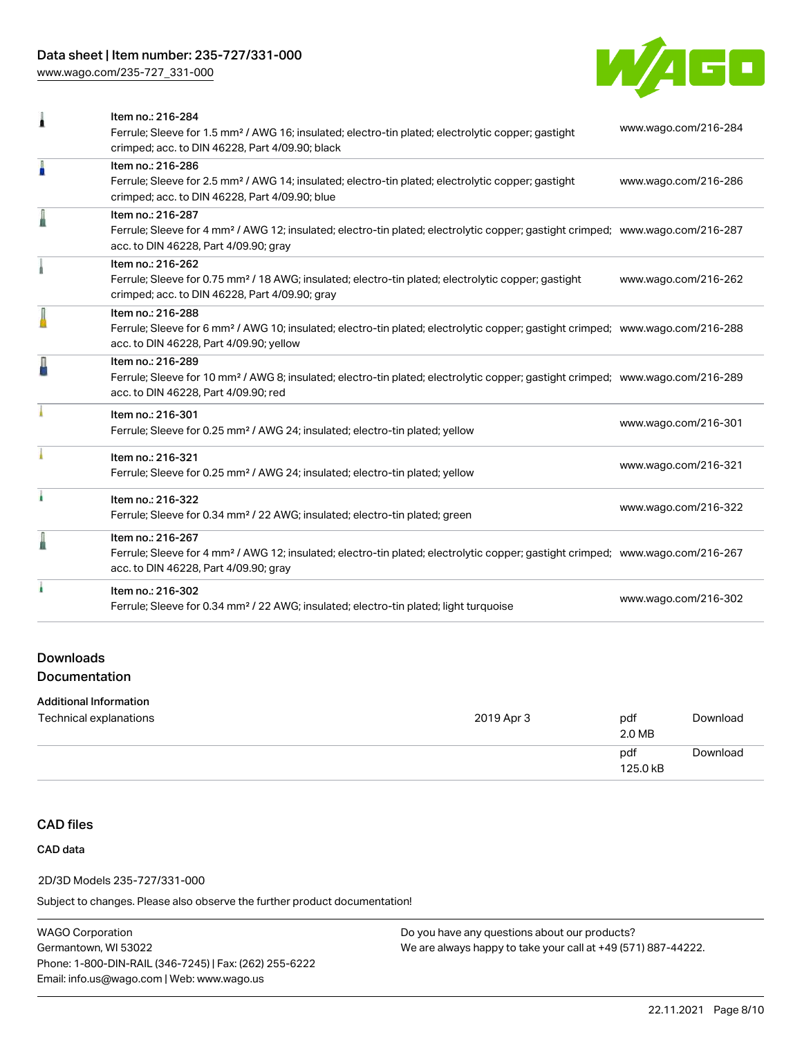# Data sheet | Item number: 235-727/331-000

[www.wago.com/235-727\\_331-000](http://www.wago.com/235-727_331-000)



| 1 | Item no.: 216-284<br>Ferrule; Sleeve for 1.5 mm <sup>2</sup> / AWG 16; insulated; electro-tin plated; electrolytic copper; gastight<br>crimped; acc. to DIN 46228, Part 4/09.90; black                     | www.wago.com/216-284 |
|---|------------------------------------------------------------------------------------------------------------------------------------------------------------------------------------------------------------|----------------------|
| I | Item no.: 216-286<br>Ferrule; Sleeve for 2.5 mm <sup>2</sup> / AWG 14; insulated; electro-tin plated; electrolytic copper; gastight<br>crimped; acc. to DIN 46228, Part 4/09.90; blue                      | www.wago.com/216-286 |
|   | Item no.: 216-287<br>Ferrule; Sleeve for 4 mm <sup>2</sup> / AWG 12; insulated; electro-tin plated; electrolytic copper; gastight crimped; www.wago.com/216-287<br>acc. to DIN 46228, Part 4/09.90; gray   |                      |
|   | Item no.: 216-262<br>Ferrule; Sleeve for 0.75 mm <sup>2</sup> / 18 AWG; insulated; electro-tin plated; electrolytic copper; gastight<br>crimped; acc. to DIN 46228, Part 4/09.90; gray                     | www.wago.com/216-262 |
| I | Item no.: 216-288<br>Ferrule; Sleeve for 6 mm <sup>2</sup> / AWG 10; insulated; electro-tin plated; electrolytic copper; gastight crimped; www.wago.com/216-288<br>acc. to DIN 46228, Part 4/09.90; yellow |                      |
| Д | Item no.: 216-289<br>Ferrule; Sleeve for 10 mm <sup>2</sup> / AWG 8; insulated; electro-tin plated; electrolytic copper; gastight crimped; www.wago.com/216-289<br>acc. to DIN 46228, Part 4/09.90; red    |                      |
|   | Item no.: 216-301<br>Ferrule; Sleeve for 0.25 mm <sup>2</sup> / AWG 24; insulated; electro-tin plated; yellow                                                                                              | www.wago.com/216-301 |
|   | Item no.: 216-321<br>Ferrule; Sleeve for 0.25 mm <sup>2</sup> / AWG 24; insulated; electro-tin plated; yellow                                                                                              | www.wago.com/216-321 |
| ł | Item no.: 216-322<br>Ferrule; Sleeve for 0.34 mm <sup>2</sup> / 22 AWG; insulated; electro-tin plated; green                                                                                               | www.wago.com/216-322 |
| I | Item no.: 216-267<br>Ferrule; Sleeve for 4 mm <sup>2</sup> / AWG 12; insulated; electro-tin plated; electrolytic copper; gastight crimped; www.wago.com/216-267<br>acc. to DIN 46228, Part 4/09.90; gray   |                      |
|   | Item no.: 216-302<br>Ferrule; Sleeve for 0.34 mm <sup>2</sup> / 22 AWG; insulated; electro-tin plated; light turquoise                                                                                     | www.wago.com/216-302 |
|   |                                                                                                                                                                                                            |                      |

## Downloads Documentation

#### Additional Information

| Technical explanations | 2019 Apr 3 | pdf<br>2.0 MB   | Download |
|------------------------|------------|-----------------|----------|
|                        |            | pdf<br>125.0 kB | Download |

# CAD files

#### CAD data

#### 2D/3D Models 235-727/331-000

Subject to changes. Please also observe the further product documentation!

WAGO Corporation Germantown, WI 53022 Phone: 1-800-DIN-RAIL (346-7245) | Fax: (262) 255-6222 Email: info.us@wago.com | Web: www.wago.us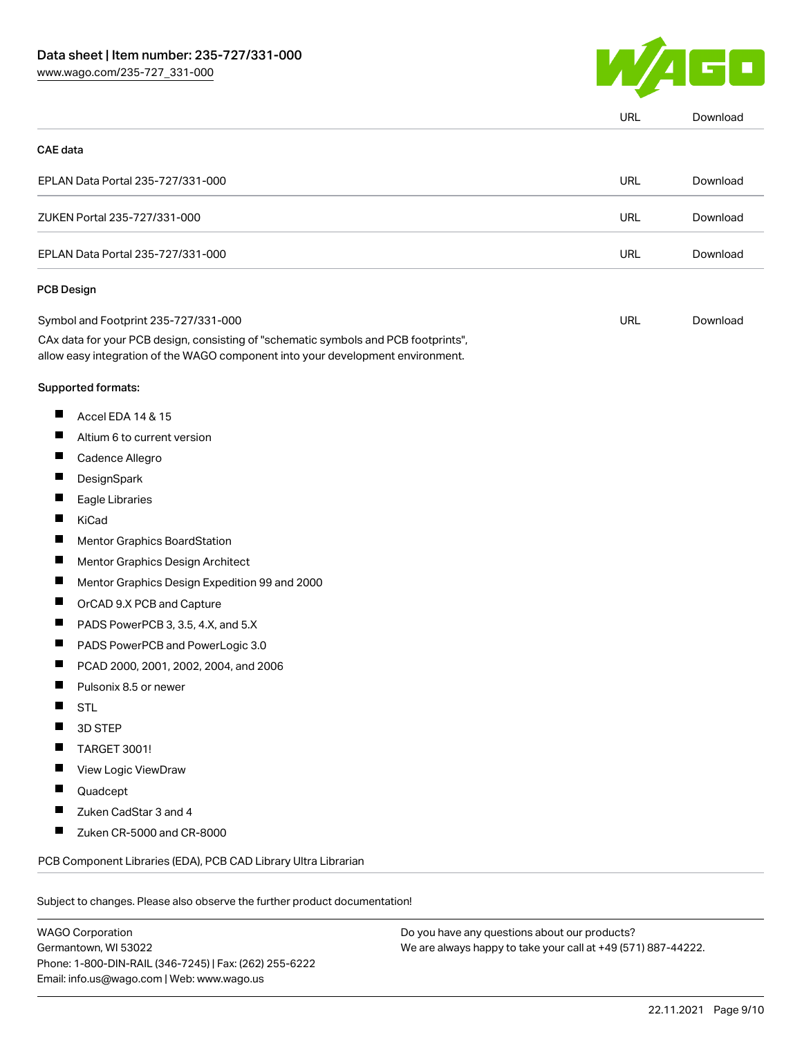

|                 |                                                                                                                                                                        | URL        | Download |
|-----------------|------------------------------------------------------------------------------------------------------------------------------------------------------------------------|------------|----------|
| <b>CAE</b> data |                                                                                                                                                                        |            |          |
|                 | EPLAN Data Portal 235-727/331-000                                                                                                                                      | <b>URL</b> | Download |
|                 | ZUKEN Portal 235-727/331-000                                                                                                                                           | <b>URL</b> | Download |
|                 | EPLAN Data Portal 235-727/331-000                                                                                                                                      | <b>URL</b> | Download |
|                 | PCB Design                                                                                                                                                             |            |          |
|                 | Symbol and Footprint 235-727/331-000                                                                                                                                   | <b>URL</b> | Download |
|                 | CAx data for your PCB design, consisting of "schematic symbols and PCB footprints",<br>allow easy integration of the WAGO component into your development environment. |            |          |
|                 | Supported formats:                                                                                                                                                     |            |          |
| ш               | Accel EDA 14 & 15                                                                                                                                                      |            |          |
| ш               | Altium 6 to current version                                                                                                                                            |            |          |
| ш               | Cadence Allegro                                                                                                                                                        |            |          |
| ш               | DesignSpark                                                                                                                                                            |            |          |
| П               | Eagle Libraries                                                                                                                                                        |            |          |
| ш               | KiCad                                                                                                                                                                  |            |          |
|                 | Mentor Graphics BoardStation                                                                                                                                           |            |          |
| Ш               | Mentor Graphics Design Architect                                                                                                                                       |            |          |
| ш               | Mentor Graphics Design Expedition 99 and 2000                                                                                                                          |            |          |
| H               | OrCAD 9.X PCB and Capture                                                                                                                                              |            |          |
| ш               | PADS PowerPCB 3, 3.5, 4.X, and 5.X                                                                                                                                     |            |          |
| ш               | PADS PowerPCB and PowerLogic 3.0                                                                                                                                       |            |          |
|                 | PCAD 2000, 2001, 2002, 2004, and 2006                                                                                                                                  |            |          |
| ш               | Pulsonix 8.5 or newer                                                                                                                                                  |            |          |
|                 | <b>STL</b>                                                                                                                                                             |            |          |
|                 | 3D STEP                                                                                                                                                                |            |          |
|                 | TARGET 3001!                                                                                                                                                           |            |          |
|                 | View Logic ViewDraw                                                                                                                                                    |            |          |
|                 | Quadcept                                                                                                                                                               |            |          |
|                 | Zuken CadStar 3 and 4                                                                                                                                                  |            |          |
|                 | Zuken CR-5000 and CR-8000                                                                                                                                              |            |          |
|                 | PCB Component Libraries (EDA), PCB CAD Library Ultra Librarian                                                                                                         |            |          |

WAGO Corporation Germantown, WI 53022 Phone: 1-800-DIN-RAIL (346-7245) | Fax: (262) 255-6222 Email: info.us@wago.com | Web: www.wago.us